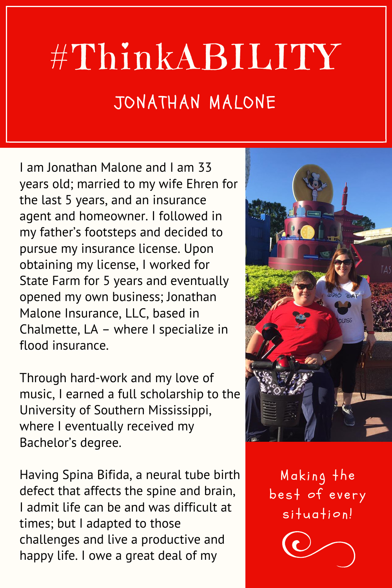## #ThinkABILITY JONATHAN MALONE

I am Jonathan Malone and I am 33 years old; married to my wife Ehren for the last 5 years, and an insurance agent and homeowner. I followed in my father's footsteps and decided to pursue my insurance license. Upon obtaining my license, I worked for State Farm for 5 years and eventually opened my own business; Jonathan Malone Insurance, LLC, based in Chalmette, LA – where I specialize in flood insurance.

Through hard-work and my love of music, I earned a full scholarship to the University of Southern Mississippi, where I eventually received my Bachelor's degree.

Having Spina Bifida, a neural tube birth defect that affects the spine and brain, I admit life can be and was difficult at times; but I adapted to those challenges and live a productive and happy life. I owe a great deal of my



Making the best of every  $s$  ituation!